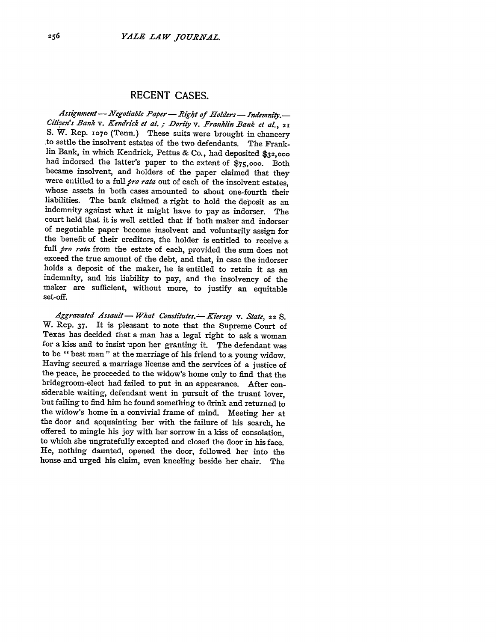## **RECENT CASES.**

*Assignment - Negotiable Paper- Right of Holders* **-** *Indemnity.- Citizen's Bank v. Xendrick et al. ; Dority v. Franklin Bank et al., <sup>21</sup>* S. W. Rep. 1070 (Tenn.) These suits were brought in chancery to settle the insolvent estates of the two defendants. The Franklin Bank, in which Kendrick, Pettus & Co., had deposited **\$32,000** had indorsed the latter's paper to the extent of \$75,00o. Both became insolvent, and holders of the paper claimed that they were entitled to a full *pro rata* out of each of the insolvent estates, whose assets in both cases amounted to about one-fourth their liabilities. The bank claimed a right to hold the deposit as an indemnity against what it might have to pay as indorser. The court held that it is well settled that if both maker and indorser of negotiable paper become insolvent and voluntarily assign for the benefit of their creditors, the holder is entitled to receive a full *pro rata* from the estate of each, provided the sum does not exceed the true amount of the debt, and that, in case the indorser holds a deposit of the maker, he is entitled to retain it as an indemnity, and his liability to pay, and the insolvency of the maker are sufficient, without more, to justify an equitable set-off.

*Aggravated Assault - What Constitutes.-- Iiersey v. State, 22* **S.** W. Rep. **37.** It is pleasant to note that the Supreme Court of Texas has decided that a man has a legal right to ask a woman for a kiss and to insist upon her granting it. The defendant was to be "best man" at the marriage of his friend to a young widow. Having secured a marriage license and the services of a justice of the peace, he proceeded to the widow's home only to find that the bridegroom-elect had failed to put in an appearance. After considerable waiting, defendant went in pursuit of the truant lover, but failing to find him he found something to drink and returned to the widow's home in a convivial frame of mind. Meeting her at the door and acquainting her with the failure of his search, he offered to mingle his joy with her sorrow in a kiss of consolation, to which she ungratefully excepted and closed the door in his face. He, nothing daunted, opened the door, followed her into the house and urged his claim, even kneeling beside her chair. The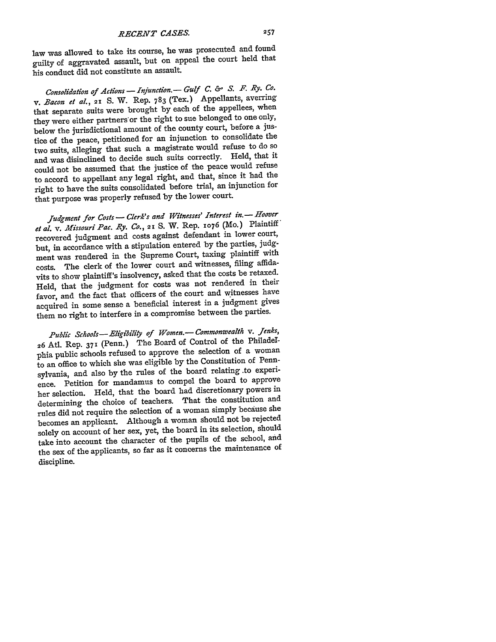law was allowed to take its course, he was prosecuted and found guilty of aggravated assault, but on appeal the court held that his conduct did not constitute an assault.

*Consolidation of Actions* - *Injunction.- Gulf C. &- S. F. Ry. Co. v. Bacon et a.,* **21 S.** W. Rep. **783** (Tex.) Appellants, averring that separate suits were brought by each of the appellees, when they were either partners'or the right to sue belonged to one only, below the jurisdictional amount of the county court, before a justice of the peace, petitioned for an injunction to consolidate the two suits, alleging that such a magistrate would refuse to do so and was disinclined to decide such suits correctly. Held, that it could not be assumed that the justice of the peace would refuse to accord to appellant any legal right, and that, since it had the right to have the suits consolidated before trial, an injunction for that purpose was properly refused by the lower court.

*Judgment for Costs* **-** *Clerk's and Witnesses' Interest in.* **-** *Hoover et al. v. Missouri Pac. Ry. Co.,* **21** S. W. Rep. **1076** (Mo.) Plaintiff' recovered judgment and costs against defendant in lower court, but, in accordance with a stipulation entered **by** the parties, judgment was rendered in the Supreme Court, taxing plaintiff with costs. The clerk of the lower court and witnesses, filing affidavits to show plaintiff's insolvency, asked that the costs be retaxed. Held, that the judgment for costs was not rendered in their favor, and the fact that officers of the court and witnesses have acquired in some sense a beneficial interest in a judgment gives them no right to interfere in a compromise between the parties.

*Public Schools- Eligibility of Women.- Commonwealth v. Jenks,* **26** Atl. Rep. **371** (Penn.) The Board of Control of the Philadelphia public schools refused to approve the selection of a woman to an office to which she was eligible by the Constitution of Pennsylvania, and also by the rules of the board relating .to experience. Petition for mandamus to compel the board to approve her selection. Held, that the board had discretionary powers in determining the choice of teachers. That the constitution and rules did not require the selection of a woman simply because she becomes an applicant. Although a woman should not be rejected solely on account of her sex, yet, the board in its selection, should take into account the character of the pupils of the school, and the sex of the applicants, so far as it concerns the maintenance of discipline.